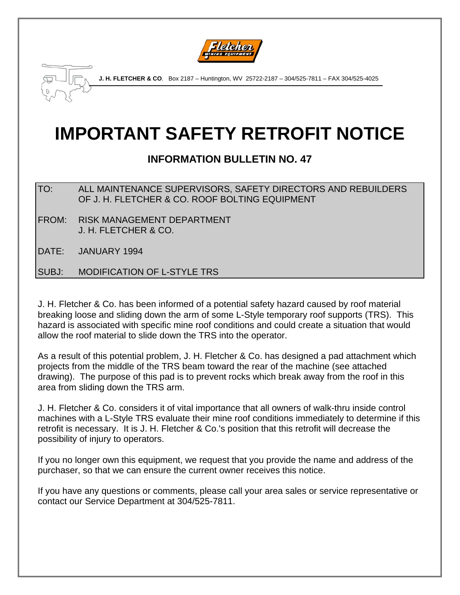



**J. H. FLETCHER & CO**. Box 2187 – Huntington, WV 25722-2187 – 304/525-7811 – FAX 304/525-4025

## **IMPORTANT SAFETY RETROFIT NOTICE**

## **INFORMATION BULLETIN NO. 47**

TO: ALL MAINTENANCE SUPERVISORS, SAFETY DIRECTORS AND REBUILDERS OF J. H. FLETCHER & CO. ROOF BOLTING EQUIPMENT

- FROM: RISK MANAGEMENT DEPARTMENT J. H. FLETCHER & CO.
- DATE: JANUARY 1994

SUBJ: MODIFICATION OF L-STYLE TRS

J. H. Fletcher & Co. has been informed of a potential safety hazard caused by roof material breaking loose and sliding down the arm of some L-Style temporary roof supports (TRS). This hazard is associated with specific mine roof conditions and could create a situation that would allow the roof material to slide down the TRS into the operator.

As a result of this potential problem, J. H. Fletcher & Co. has designed a pad attachment which projects from the middle of the TRS beam toward the rear of the machine (see attached drawing). The purpose of this pad is to prevent rocks which break away from the roof in this area from sliding down the TRS arm.

J. H. Fletcher & Co. considers it of vital importance that all owners of walk-thru inside control machines with a L-Style TRS evaluate their mine roof conditions immediately to determine if this retrofit is necessary. It is J. H. Fletcher & Co.'s position that this retrofit will decrease the possibility of injury to operators.

If you no longer own this equipment, we request that you provide the name and address of the purchaser, so that we can ensure the current owner receives this notice.

If you have any questions or comments, please call your area sales or service representative or contact our Service Department at 304/525-7811.